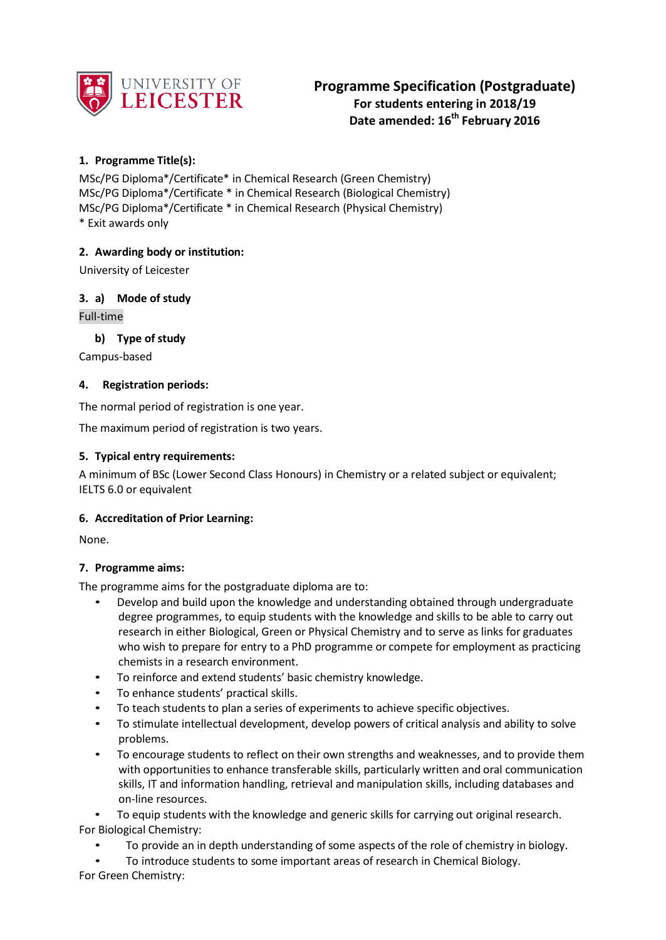

# **Programme Specification (Postgraduate) For students entering in 2018/19 Date amended: 16th February 2016**

# **1. Programme Title(s):**

MSc/PG Diploma\*/Certificate\* in Chemical Research (Green Chemistry) MSc/PG Diploma\*/Certificate \* in Chemical Research (Biological Chemistry) MSc/PG Diploma\*/Certificate \* in Chemical Research (Physical Chemistry) \* Exit awards only

# **2. Awarding body or institution:**

University of Leicester

#### **3. a) Mode of study**

Full-time

#### **b) Type of study**

Campus-based

#### **4. Registration periods:**

The normal period of registration is one year.

The maximum period of registration is two years.

#### **5. Typical entry requirements:**

A minimum of BSc (Lower Second Class Honours) in Chemistry or a related subject or equivalent; IELTS 6.0 or equivalent

#### **6. Accreditation of Prior Learning:**

None.

# **7. Programme aims:**

The programme aims for the postgraduate diploma are to:

- Develop and build upon the knowledge and understanding obtained through undergraduate degree programmes, to equip students with the knowledge and skills to be able to carry out research in either Biological, Green or Physical Chemistry and to serve as links for graduates who wish to prepare for entry to a PhD programme or compete for employment as practicing chemists in a research environment.
- To reinforce and extend students' basic chemistry knowledge.
- To enhance students' practical skills.
- To teach students to plan a series of experiments to achieve specific objectives.
- To stimulate intellectual development, develop powers of critical analysis and ability to solve problems.
- To encourage students to reflect on their own strengths and weaknesses, and to provide them with opportunities to enhance transferable skills, particularly written and oral communication skills, IT and information handling, retrieval and manipulation skills, including databases and on-line resources.

• To equip students with the knowledge and generic skills for carrying out original research. For Biological Chemistry:

- To provide an in depth understanding of some aspects of the role of chemistry in biology.
- To introduce students to some important areas of research in Chemical Biology.

For Green Chemistry: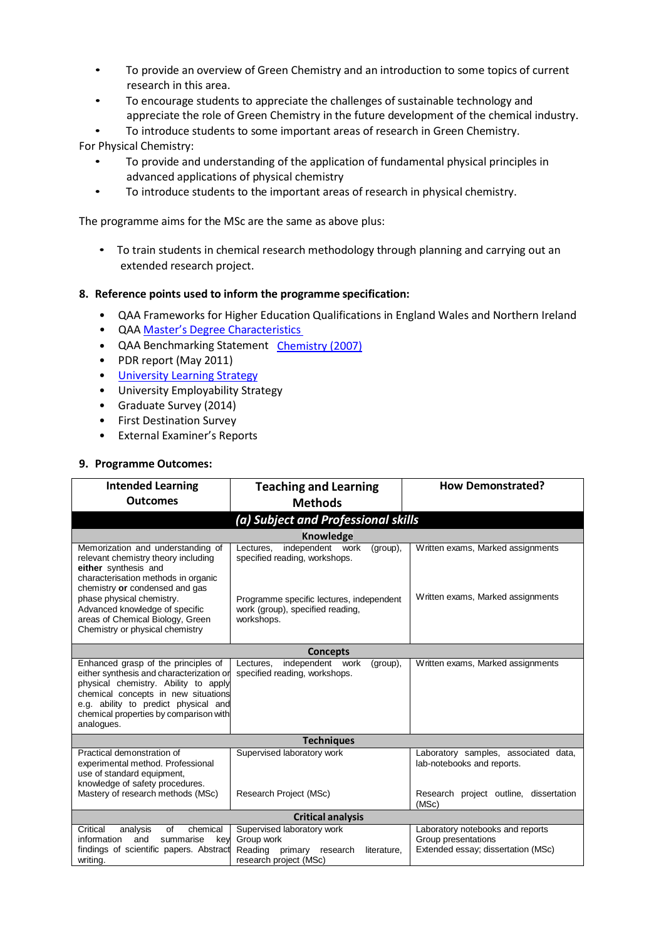- To provide an overview of Green Chemistry and an introduction to some topics of current research in this area.
- To encourage students to appreciate the challenges of sustainable technology and appreciate the role of Green Chemistry in the future development of the chemical industry.
- To introduce students to some important areas of research in Green Chemistry.

For Physical Chemistry:

- To provide and understanding of the application of fundamental physical principles in advanced applications of physical chemistry
- To introduce students to the important areas of research in physical chemistry.

The programme aims for the MSc are the same as above plus:

• To train students in chemical research methodology through planning and carrying out an extended research project.

#### **8. Reference points used to inform the programme specification:**

- QAA Frameworks for Higher Education Qualifications in England Wales and Northern Ireland
- QAA Master's Degree [Characteristics](http://www.qaa.ac.uk/en/Publications/Documents/Masters-Degree-Characteristics-2010.pdf)
- QAA Benchmarking Statement [Chemistry](http://www.qaa.ac.uk/en/Publications/Documents/Subject-benchmark-statement-Chemistry-2007.pdfhttp%3A/www.qaa.ac.uk/en/Publications/Documents/Subject-benchmark-statement-Chemistry-2007.pdf) (2007)
- PDR report (May 2011)
- University [Learning Strategy](http://www2.le.ac.uk/offices/sas2/quality/learnteach)
- University Employability Strategy
- Graduate Survey (2014)
- First Destination Survey
- External Examiner's Reports

#### **9. Programme Outcomes:**

| <b>Intended Learning</b><br><b>Outcomes</b>                                                                                                                                                                                                                                                                     | <b>Teaching and Learning</b><br><b>Methods</b>                                                                                                                           | <b>How Demonstrated?</b>                                                                      |  |  |  |  |
|-----------------------------------------------------------------------------------------------------------------------------------------------------------------------------------------------------------------------------------------------------------------------------------------------------------------|--------------------------------------------------------------------------------------------------------------------------------------------------------------------------|-----------------------------------------------------------------------------------------------|--|--|--|--|
| (a) Subject and Professional skills                                                                                                                                                                                                                                                                             |                                                                                                                                                                          |                                                                                               |  |  |  |  |
|                                                                                                                                                                                                                                                                                                                 | <b>Knowledge</b>                                                                                                                                                         |                                                                                               |  |  |  |  |
| Memorization and understanding of<br>relevant chemistry theory including<br>either synthesis and<br>characterisation methods in organic<br>chemistry or condensed and gas<br>phase physical chemistry.<br>Advanced knowledge of specific<br>areas of Chemical Biology, Green<br>Chemistry or physical chemistry | independent work<br>(group),<br>Lectures.<br>specified reading, workshops.<br>Programme specific lectures, independent<br>work (group), specified reading,<br>workshops. | Written exams, Marked assignments<br>Written exams, Marked assignments                        |  |  |  |  |
|                                                                                                                                                                                                                                                                                                                 | <b>Concepts</b>                                                                                                                                                          |                                                                                               |  |  |  |  |
| Enhanced grasp of the principles of<br>either synthesis and characterization or<br>physical chemistry. Ability to apply<br>chemical concepts in new situations<br>e.g. ability to predict physical and<br>chemical properties by comparison with<br>analogues.                                                  | Lectures,<br>independent work<br>(group),<br>specified reading, workshops.                                                                                               | Written exams, Marked assignments                                                             |  |  |  |  |
|                                                                                                                                                                                                                                                                                                                 | <b>Techniques</b>                                                                                                                                                        |                                                                                               |  |  |  |  |
| Practical demonstration of<br>experimental method. Professional<br>use of standard equipment,<br>knowledge of safety procedures.                                                                                                                                                                                | Supervised laboratory work                                                                                                                                               | Laboratory samples, associated data,<br>lab-notebooks and reports.                            |  |  |  |  |
| Mastery of research methods (MSc)                                                                                                                                                                                                                                                                               | Research Project (MSc)                                                                                                                                                   | Research project outline, dissertation<br>(MSc)                                               |  |  |  |  |
| <b>Critical analysis</b>                                                                                                                                                                                                                                                                                        |                                                                                                                                                                          |                                                                                               |  |  |  |  |
| Critical<br>analysis<br>chemical<br>of<br>and<br>information<br>summarise<br>key<br>findings of scientific papers. Abstract<br>writing.                                                                                                                                                                         | Supervised laboratory work<br>Group work<br>Reading<br>primary research<br>literature,<br>research project (MSc)                                                         | Laboratory notebooks and reports<br>Group presentations<br>Extended essay; dissertation (MSc) |  |  |  |  |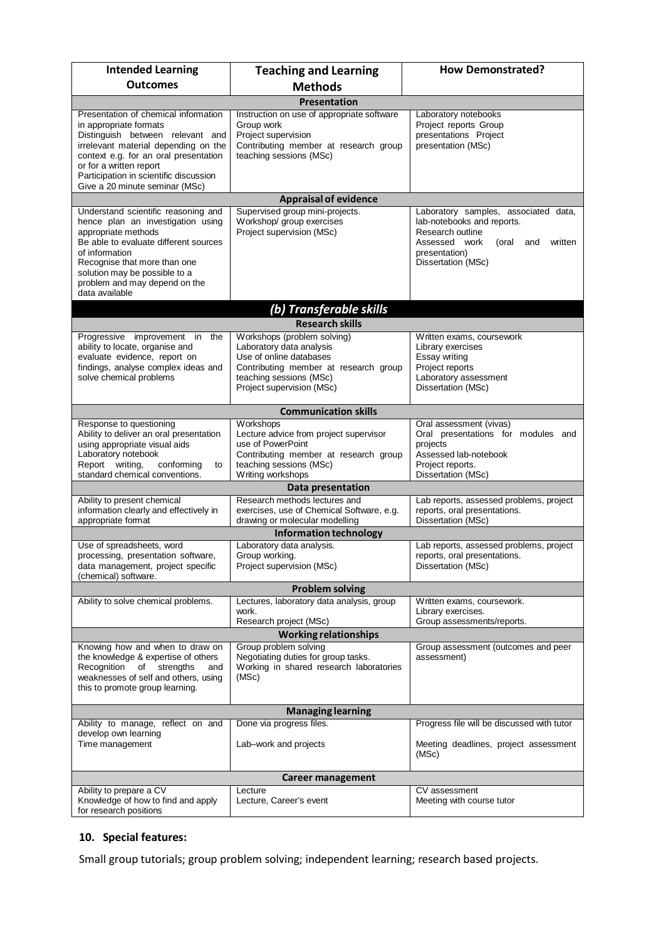| <b>Intended Learning</b>                                                                                                                                                                                                                                                                   | <b>Teaching and Learning</b>                                                                                                                                                        | <b>How Demonstrated?</b>                                                                                                                                                  |  |  |
|--------------------------------------------------------------------------------------------------------------------------------------------------------------------------------------------------------------------------------------------------------------------------------------------|-------------------------------------------------------------------------------------------------------------------------------------------------------------------------------------|---------------------------------------------------------------------------------------------------------------------------------------------------------------------------|--|--|
| <b>Outcomes</b>                                                                                                                                                                                                                                                                            | <b>Methods</b>                                                                                                                                                                      |                                                                                                                                                                           |  |  |
|                                                                                                                                                                                                                                                                                            | <b>Presentation</b>                                                                                                                                                                 |                                                                                                                                                                           |  |  |
| Presentation of chemical information<br>in appropriate formats<br>Distinguish between relevant and<br>irrelevant material depending on the<br>context e.g. for an oral presentation<br>or for a written report<br>Participation in scientific discussion<br>Give a 20 minute seminar (MSc) | Instruction on use of appropriate software<br>Group work<br>Project supervision<br>Contributing member at research group<br>teaching sessions (MSc)                                 | Laboratory notebooks<br>Project reports Group<br>presentations Project<br>presentation (MSc)                                                                              |  |  |
|                                                                                                                                                                                                                                                                                            | <b>Appraisal of evidence</b>                                                                                                                                                        |                                                                                                                                                                           |  |  |
| Understand scientific reasoning and<br>hence plan an investigation using<br>appropriate methods<br>Be able to evaluate different sources<br>of information<br>Recognise that more than one<br>solution may be possible to a<br>problem and may depend on the<br>data available             | Supervised group mini-projects.<br>Workshop/ group exercises<br>Project supervision (MSc)                                                                                           | Laboratory samples, associated data,<br>lab-notebooks and reports.<br>Research outline<br>Assessed work<br>written<br>(oral<br>and<br>presentation)<br>Dissertation (MSc) |  |  |
|                                                                                                                                                                                                                                                                                            | (b) Transferable skills                                                                                                                                                             |                                                                                                                                                                           |  |  |
|                                                                                                                                                                                                                                                                                            | <b>Research skills</b>                                                                                                                                                              |                                                                                                                                                                           |  |  |
| Progressive improvement in the<br>ability to locate, organise and<br>evaluate evidence, report on<br>findings, analyse complex ideas and<br>solve chemical problems                                                                                                                        | Workshops (problem solving)<br>Laboratory data analysis<br>Use of online databases<br>Contributing member at research group<br>teaching sessions (MSc)<br>Project supervision (MSc) | Written exams, coursework<br>Library exercises<br>Essay writing<br>Project reports<br>Laboratory assessment<br>Dissertation (MSc)                                         |  |  |
|                                                                                                                                                                                                                                                                                            | <b>Communication skills</b>                                                                                                                                                         |                                                                                                                                                                           |  |  |
| Response to questioning<br>Ability to deliver an oral presentation<br>using appropriate visual aids<br>Laboratory notebook<br>Report writing,<br>conforming<br>to<br>standard chemical conventions.                                                                                        | Workshops<br>Lecture advice from project supervisor<br>use of PowerPoint<br>Contributing member at research group<br>teaching sessions (MSc)<br>Writing workshops                   | Oral assessment (vivas)<br>Oral presentations for modules and<br>projects<br>Assessed lab-notebook<br>Project reports.<br>Dissertation (MSc)                              |  |  |
|                                                                                                                                                                                                                                                                                            | Data presentation                                                                                                                                                                   |                                                                                                                                                                           |  |  |
| Ability to present chemical<br>information clearly and effectively in<br>appropriate format                                                                                                                                                                                                | Research methods lectures and<br>exercises, use of Chemical Software, e.g.<br>drawing or molecular modelling                                                                        | Lab reports, assessed problems, project<br>reports, oral presentations.<br>Dissertation (MSc)                                                                             |  |  |
|                                                                                                                                                                                                                                                                                            | Information technology                                                                                                                                                              |                                                                                                                                                                           |  |  |
| Use of spreadsheets, word<br>processing, presentation software,<br>data management, project specific<br>(chemical) software.                                                                                                                                                               | Laboratory data analysis.<br>Group working.<br>Project supervision (MSc)                                                                                                            | Lab reports, assessed problems, project<br>reports, oral presentations.<br>Dissertation (MSc)                                                                             |  |  |
|                                                                                                                                                                                                                                                                                            | <b>Problem solving</b>                                                                                                                                                              |                                                                                                                                                                           |  |  |
| Ability to solve chemical problems.                                                                                                                                                                                                                                                        | Lectures, laboratory data analysis, group<br>work.<br>Research project (MSc)<br><b>Working relationships</b>                                                                        | Written exams, coursework.<br>Library exercises.<br>Group assessments/reports.                                                                                            |  |  |
| Knowing how and when to draw on                                                                                                                                                                                                                                                            | Group problem solving                                                                                                                                                               | Group assessment (outcomes and peer                                                                                                                                       |  |  |
| the knowledge & expertise of others<br>Recognition<br>of strengths<br>and<br>weaknesses of self and others, using<br>this to promote group learning.                                                                                                                                       | Negotiating duties for group tasks.<br>Working in shared research laboratories<br>(MSc)                                                                                             | assessment)                                                                                                                                                               |  |  |
| <b>Managing learning</b>                                                                                                                                                                                                                                                                   |                                                                                                                                                                                     |                                                                                                                                                                           |  |  |
| Ability to manage, reflect on and<br>develop own learning<br>Time management                                                                                                                                                                                                               | Done via progress files.<br>Lab-work and projects                                                                                                                                   | Progress file will be discussed with tutor<br>Meeting deadlines, project assessment<br>(MSc)                                                                              |  |  |
| Career management                                                                                                                                                                                                                                                                          |                                                                                                                                                                                     |                                                                                                                                                                           |  |  |
| Ability to prepare a CV<br>Knowledge of how to find and apply<br>for research positions                                                                                                                                                                                                    | Lecture<br>Lecture, Career's event                                                                                                                                                  | CV assessment<br>Meeting with course tutor                                                                                                                                |  |  |

# **10. Special features:**

Small group tutorials; group problem solving; independent learning; research based projects.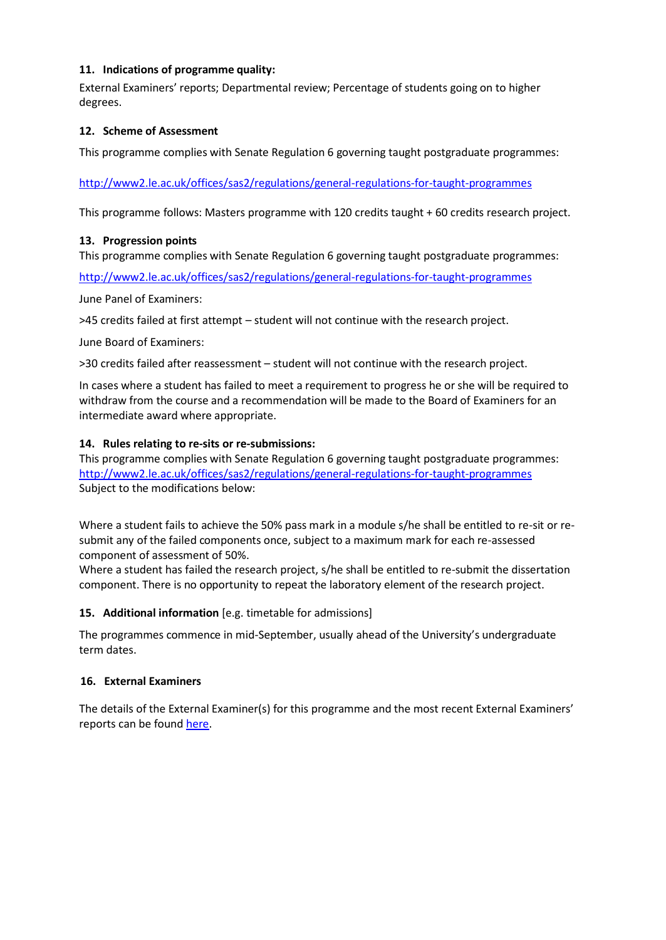#### **11. Indications of programme quality:**

External Examiners' reports; Departmental review; Percentage of students going on to higher degrees.

#### **12. Scheme of Assessment**

This programme complies with Senate Regulation 6 governing taught postgraduate programmes:

#### <http://www2.le.ac.uk/offices/sas2/regulations/general-regulations-for-taught-programmes>

This programme follows: Masters programme with 120 credits taught + 60 credits research project.

#### **13. Progression points**

This programme complies with Senate Regulation 6 governing taught postgraduate programmes:

<http://www2.le.ac.uk/offices/sas2/regulations/general-regulations-for-taught-programmes>

June Panel of Examiners:

>45 credits failed at first attempt – student will not continue with the research project.

June Board of Examiners:

>30 credits failed after reassessment – student will not continue with the research project.

In cases where a student has failed to meet a requirement to progress he or she will be required to withdraw from the course and a recommendation will be made to the Board of Examiners for an intermediate award where appropriate.

#### **14. Rules relating to re-sits or re-submissions:**

This programme complies with Senate Regulation 6 governing taught postgraduate programmes: <http://www2.le.ac.uk/offices/sas2/regulations/general-regulations-for-taught-programmes> Subject to the modifications below:

Where a student fails to achieve the 50% pass mark in a module s/he shall be entitled to re-sit or resubmit any of the failed components once, subject to a maximum mark for each re-assessed component of assessment of 50%.

Where a student has failed the research project, s/he shall be entitled to re-submit the dissertation component. There is no opportunity to repeat the laboratory element of the research project.

# **15. Additional information** [e.g. timetable for admissions]

The programmes commence in mid-September, usually ahead of the University's undergraduate term dates.

# **16. External Examiners**

The details of the External Examiner(s) for this programme and the most recent External Examiners' reports can be found [here.](https://exampapers.le.ac.uk/xmlui/handle/123456789/209)